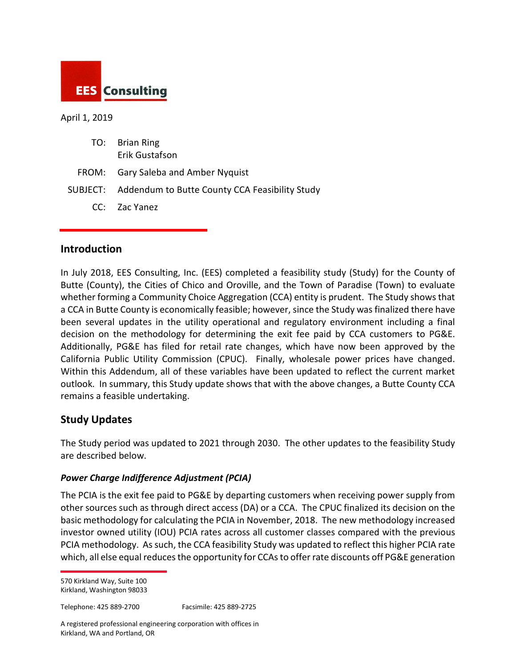

#### April 1, 2019

| TO: Brian Ring<br>Erik Gustafson                        |
|---------------------------------------------------------|
| FROM: Gary Saleba and Amber Nyquist                     |
| SUBJECT: Addendum to Butte County CCA Feasibility Study |

CC: Zac Yanez

### **Introduction**

In July 2018, EES Consulting, Inc. (EES) completed a feasibility study (Study) for the County of Butte (County), the Cities of Chico and Oroville, and the Town of Paradise (Town) to evaluate whether forming a Community Choice Aggregation (CCA) entity is prudent. The Study shows that a CCA in Butte County is economically feasible; however, since the Study was finalized there have been several updates in the utility operational and regulatory environment including a final decision on the methodology for determining the exit fee paid by CCA customers to PG&E. Additionally, PG&E has filed for retail rate changes, which have now been approved by the California Public Utility Commission (CPUC). Finally, wholesale power prices have changed. Within this Addendum, all of these variables have been updated to reflect the current market outlook. In summary, this Study update shows that with the above changes, a Butte County CCA remains a feasible undertaking.

## **Study Updates**

The Study period was updated to 2021 through 2030. The other updates to the feasibility Study are described below.

#### *Power Charge Indifference Adjustment (PCIA)*

The PCIA is the exit fee paid to PG&E by departing customers when receiving power supply from other sources such as through direct access (DA) or a CCA. The CPUC finalized its decision on the basic methodology for calculating the PCIA in November, 2018. The new methodology increased investor owned utility (IOU) PCIA rates across all customer classes compared with the previous PCIA methodology. As such, the CCA feasibility Study was updated to reflect this higher PCIA rate which, all else equal reduces the opportunity for CCAs to offer rate discounts off PG&E generation

570 Kirkland Way, Suite 100 Kirkland, Washington 98033

Telephone: 425 889-2700 Facsimile: 425 889-2725

A registered professional engineering corporation with offices in Kirkland, WA and Portland, OR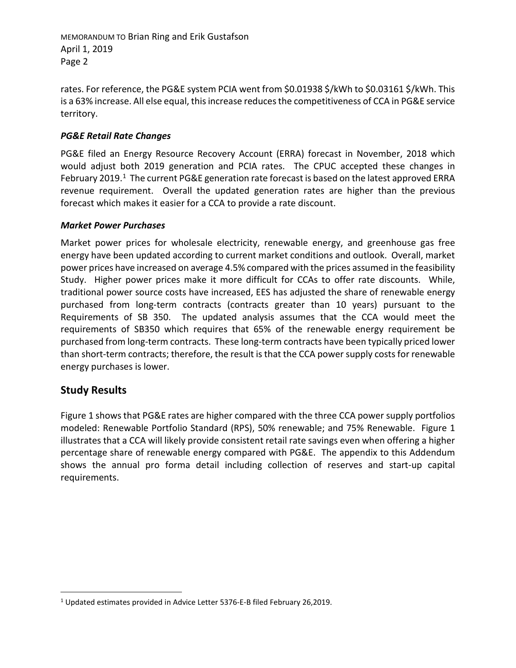MEMORANDUM TO Brian Ring and Erik Gustafson April 1, 2019 Page 2

rates. For reference, the PG&E system PCIA went from \$0.01938 \$/kWh to \$0.03161 \$/kWh. This is a 63% increase. All else equal, this increase reduces the competitiveness of CCA in PG&E service territory.

#### *PG&E Retail Rate Changes*

PG&E filed an Energy Resource Recovery Account (ERRA) forecast in November, 2018 which would adjust both 2019 generation and PCIA rates. The CPUC accepted these changes in February 2019.<sup>1</sup> The current PG&E generation rate forecast is based on the latest approved ERRA revenue requirement. Overall the updated generation rates are higher than the previous forecast which makes it easier for a CCA to provide a rate discount.

#### *Market Power Purchases*

Market power prices for wholesale electricity, renewable energy, and greenhouse gas free energy have been updated according to current market conditions and outlook. Overall, market power prices have increased on average 4.5% compared with the prices assumed in the feasibility Study. Higher power prices make it more difficult for CCAs to offer rate discounts. While, traditional power source costs have increased, EES has adjusted the share of renewable energy purchased from long-term contracts (contracts greater than 10 years) pursuant to the Requirements of SB 350. The updated analysis assumes that the CCA would meet the requirements of SB350 which requires that 65% of the renewable energy requirement be purchased from long-term contracts. These long-term contracts have been typically priced lower than short-term contracts; therefore, the result is that the CCA power supply costs for renewable energy purchases is lower.

## **Study Results**

Figure 1 shows that PG&E rates are higher compared with the three CCA power supply portfolios modeled: Renewable Portfolio Standard (RPS), 50% renewable; and 75% Renewable. Figure 1 illustrates that a CCA will likely provide consistent retail rate savings even when offering a higher percentage share of renewable energy compared with PG&E. The appendix to this Addendum shows the annual pro forma detail including collection of reserves and start-up capital requirements.

<span id="page-1-0"></span><sup>&</sup>lt;sup>1</sup> Updated estimates provided in Advice Letter 5376-E-B filed February 26,2019.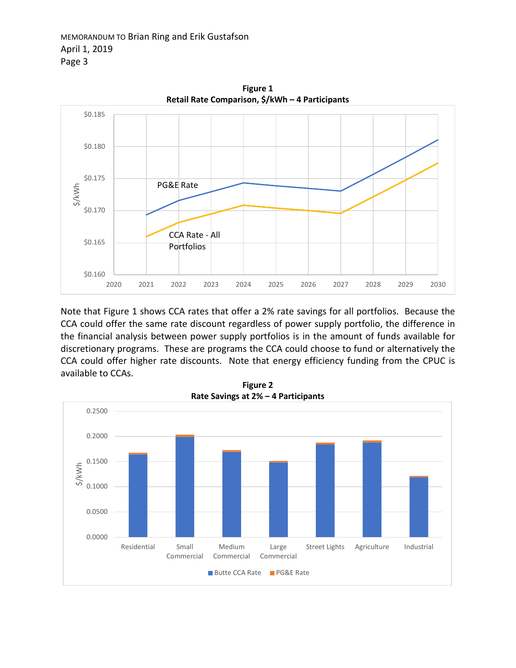

Note that Figure 1 shows CCA rates that offer a 2% rate savings for all portfolios. Because the CCA could offer the same rate discount regardless of power supply portfolio, the difference in the financial analysis between power supply portfolios is in the amount of funds available for discretionary programs. These are programs the CCA could choose to fund or alternatively the CCA could offer higher rate discounts. Note that energy efficiency funding from the CPUC is available to CCAs.



**Figure 1**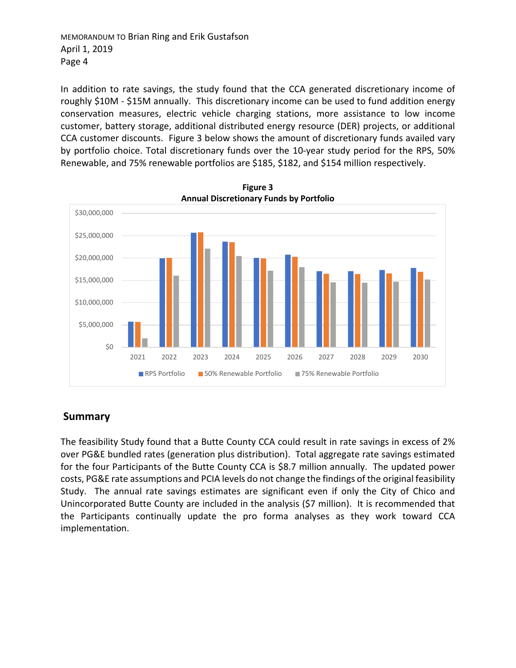MEMORANDUM TO Brian Ring and Erik Gustafson April 1, 2019 Page 4

In addition to rate savings, the study found that the CCA generated discretionary income of roughly \$10M - \$15M annually. This discretionary income can be used to fund addition energy conservation measures, electric vehicle charging stations, more assistance to low income customer, battery storage, additional distributed energy resource (DER) projects, or additional CCA customer discounts. Figure 3 below shows the amount of discretionary funds availed vary by portfolio choice. Total discretionary funds over the 10-year study period for the RPS, 50% Renewable, and 75% renewable portfolios are \$185, \$182, and \$154 million respectively.



**Figure 3 Annual Discretionary Funds by Portfolio**

# **Summary**

The feasibility Study found that a Butte County CCA could result in rate savings in excess of 2% over PG&E bundled rates (generation plus distribution). Total aggregate rate savings estimated for the four Participants of the Butte County CCA is \$8.7 million annually. The updated power costs, PG&E rate assumptions and PCIA levels do not change the findings of the original feasibility Study. The annual rate savings estimates are significant even if only the City of Chico and Unincorporated Butte County are included in the analysis (\$7 million). It is recommended that the Participants continually update the pro forma analyses as they work toward CCA implementation.